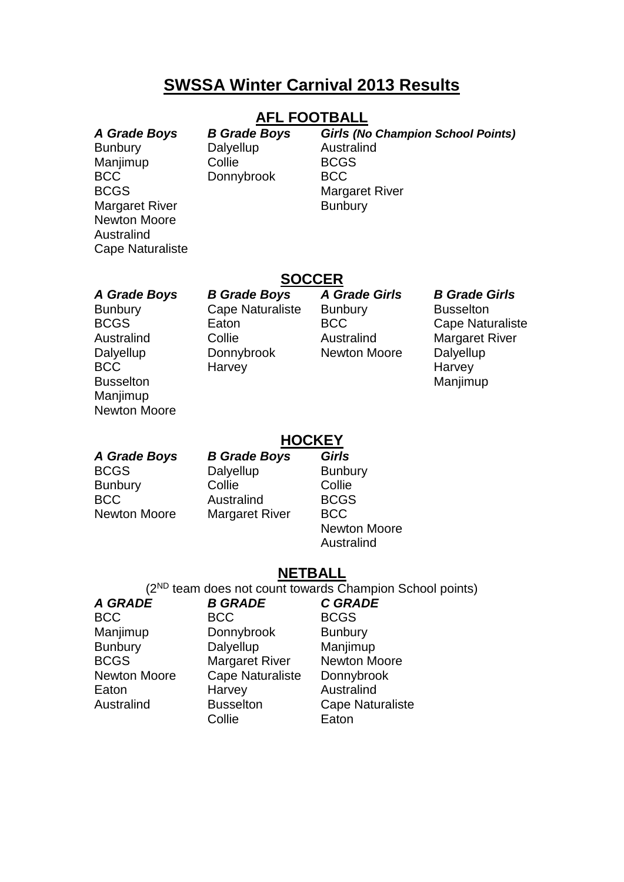## **SWSSA Winter Carnival 2013 Results**

### **AFL FOOTBALL**

Bunbury Dalyellup Australind Manjimup Collie BCGS BCC Donnybrook BCC BCGS Margaret River Margaret River **Bunbury** Newton Moore Australind Cape Naturaliste

*A Grade Boys B Grade Boys Girls (No Champion School Points)*

### **SOCCER**

Maniimup Newton Moore

Bunbury Cape Naturaliste Bunbury Busselton Australind Collie **Collie** Australind Margaret River Dalyellup Donnybrook Newton Moore Dalyellup BCC Harvey Harvey Harvey Busselton Manjimup

*A Grade Boys B Grade Boys A Grade Girls B Grade Girls*

BCGS Eaton BCC Cape Naturaliste

#### **HOCKEY**

BCGS Dalyellup Bunbury Bunbury Collie Collie Collie BCC Australind BCGS Newton Moore Margaret River BCC

*A Grade Boys B Grade Boys Girls*

Newton Moore Australind

#### **NETBALL**

(2ND team does not count towards Champion School points)

*A GRADE B GRADE C GRADE* BCC BCC BCGS Manjimup Donnybrook Bunbury Bunbury Dalyellup Manjimup BCGS Margaret River Newton Moore Newton Moore Cape Naturaliste Donnybrook Eaton Harvey Australind Australind Busselton Cape Naturaliste Collie **Eaton**